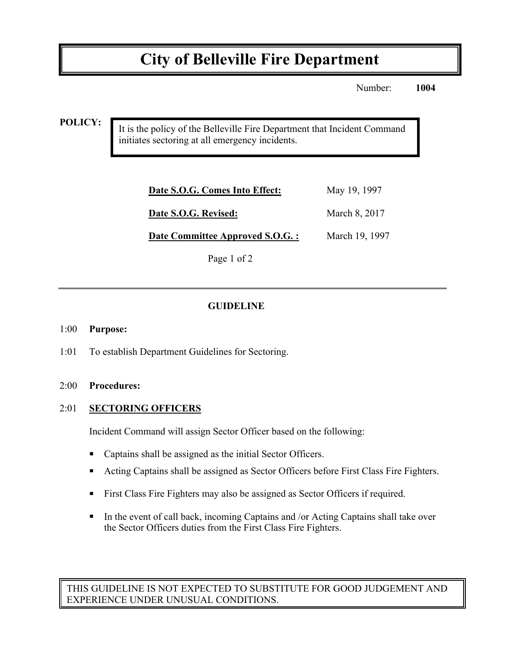# **City of Belleville Fire Department**

Number: **1004**

**POLICY:**

It is the policy of the Belleville Fire Department that Incident Command initiates sectoring at all emergency incidents.

| Date S.O.G. Comes Into Effect:   | May 19, 1997   |
|----------------------------------|----------------|
| Date S.O.G. Revised:             | March 8, 2017  |
| Date Committee Approved S.O.G. : | March 19, 1997 |
|                                  |                |

Page 1 of 2

## **GUIDELINE**

#### 1:00 **Purpose:**

1:01 To establish Department Guidelines for Sectoring.

#### 2:00 **Procedures:**

#### 2:01 **SECTORING OFFICERS**

Incident Command will assign Sector Officer based on the following:

- Captains shall be assigned as the initial Sector Officers.
- ! Acting Captains shall be assigned as Sector Officers before First Class Fire Fighters.
- ! First Class Fire Fighters may also be assigned as Sector Officers if required.
- ! In the event of call back, incoming Captains and /or Acting Captains shall take over the Sector Officers duties from the First Class Fire Fighters.

THIS GUIDELINE IS NOT EXPECTED TO SUBSTITUTE FOR GOOD JUDGEMENT AND EXPERIENCE UNDER UNUSUAL CONDITIONS.